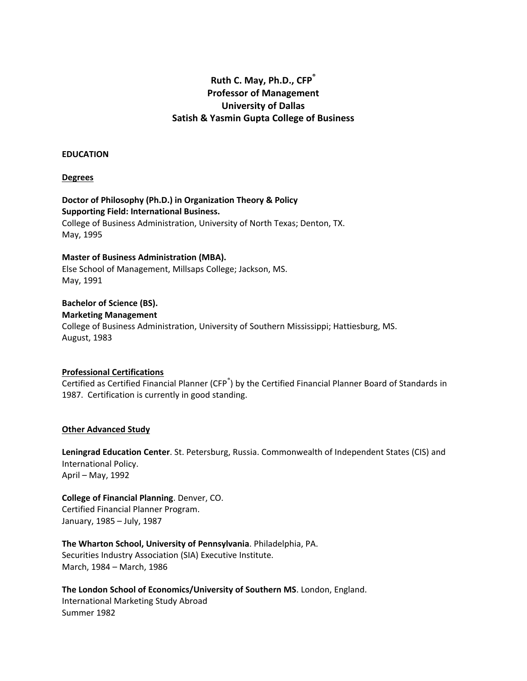# **Ruth C. May, Ph.D., CFP® Professor of Management University of Dallas Satish & Yasmin Gupta College of Business**

#### **EDUCATION**

### **Degrees**

# **Doctor of Philosophy (Ph.D.) in Organization Theory & Policy Supporting Field: International Business.**

College of Business Administration, University of North Texas; Denton, TX. May, 1995

# **Master of Business Administration (MBA).**

Else School of Management, Millsaps College; Jackson, MS. May, 1991

### **Bachelor of Science (BS). Marketing Management**

College of Business Administration, University of Southern Mississippi; Hattiesburg, MS. August, 1983

# **Professional Certifications**

Certified as Certified Financial Planner (CFP<sup>®</sup>) by the Certified Financial Planner Board of Standards in 1987. Certification is currently in good standing.

# **Other Advanced Study**

**Leningrad Education Center**. St. Petersburg, Russia. Commonwealth of Independent States (CIS) and International Policy. April – May, 1992

**College of Financial Planning**. Denver, CO. Certified Financial Planner Program. January, 1985 – July, 1987

**The Wharton School, University of Pennsylvania**. Philadelphia, PA. Securities Industry Association (SIA) Executive Institute. March, 1984 – March, 1986

**The London School of Economics/University of Southern MS**. London, England. International Marketing Study Abroad Summer 1982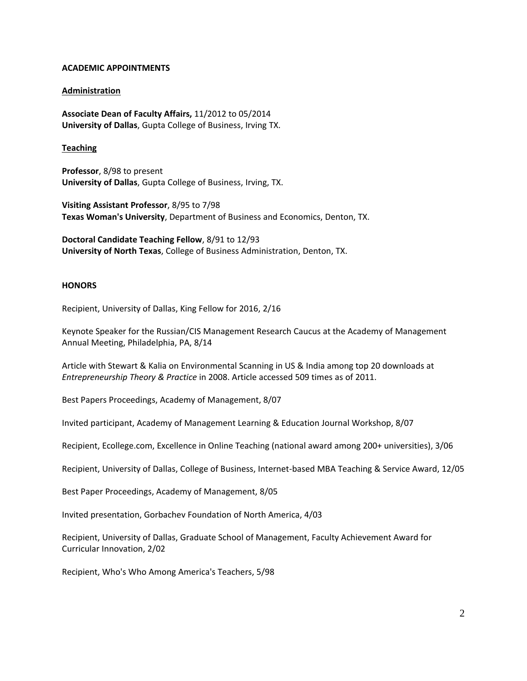# **ACADEMIC APPOINTMENTS**

# **Administration**

**Associate Dean of Faculty Affairs,** 11/2012 to 05/2014 **University of Dallas**, Gupta College of Business, Irving TX.

# **Teaching**

**Professor**, 8/98 to present **University of Dallas**, Gupta College of Business, Irving, TX.

**Visiting Assistant Professor**, 8/95 to 7/98 **Texas Woman's University**, Department of Business and Economics, Denton, TX.

**Doctoral Candidate Teaching Fellow**, 8/91 to 12/93 **University of North Texas**, College of Business Administration, Denton, TX.

# **HONORS**

Recipient, University of Dallas, King Fellow for 2016, 2/16

Keynote Speaker for the Russian/CIS Management Research Caucus at the Academy of Management Annual Meeting, Philadelphia, PA, 8/14

Article with Stewart & Kalia on Environmental Scanning in US & India among top 20 downloads at *Entrepreneurship Theory & Practice* in 2008. Article accessed 509 times as of 2011.

Best Papers Proceedings, Academy of Management, 8/07

Invited participant, Academy of Management Learning & Education Journal Workshop, 8/07

Recipient, Ecollege.com, Excellence in Online Teaching (national award among 200+ universities), 3/06

Recipient, University of Dallas, College of Business, Internet-based MBA Teaching & Service Award, 12/05

Best Paper Proceedings, Academy of Management, 8/05

Invited presentation, Gorbachev Foundation of North America, 4/03

Recipient, University of Dallas, Graduate School of Management, Faculty Achievement Award for Curricular Innovation, 2/02

Recipient, Who's Who Among America's Teachers, 5/98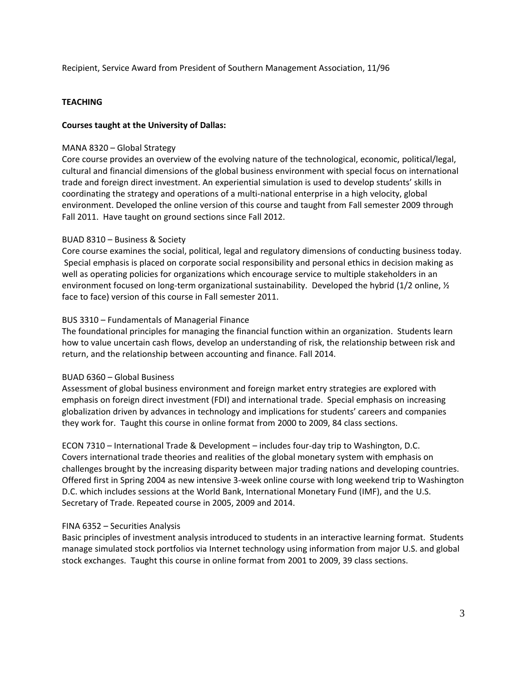Recipient, Service Award from President of Southern Management Association, 11/96

# **TEACHING**

# **Courses taught at the University of Dallas:**

### MANA 8320 – Global Strategy

Core course provides an overview of the evolving nature of the technological, economic, political/legal, cultural and financial dimensions of the global business environment with special focus on international trade and foreign direct investment. An experiential simulation is used to develop students' skills in coordinating the strategy and operations of a multi-national enterprise in a high velocity, global environment. Developed the online version of this course and taught from Fall semester 2009 through Fall 2011. Have taught on ground sections since Fall 2012.

# BUAD 8310 – Business & Society

Core course examines the social, political, legal and regulatory dimensions of conducting business today. Special emphasis is placed on corporate social responsibility and personal ethics in decision making as well as operating policies for organizations which encourage service to multiple stakeholders in an environment focused on long-term organizational sustainability. Developed the hybrid (1/2 online, 1/2 face to face) version of this course in Fall semester 2011.

# BUS 3310 – Fundamentals of Managerial Finance

The foundational principles for managing the financial function within an organization. Students learn how to value uncertain cash flows, develop an understanding of risk, the relationship between risk and return, and the relationship between accounting and finance. Fall 2014.

### BUAD 6360 – Global Business

Assessment of global business environment and foreign market entry strategies are explored with emphasis on foreign direct investment (FDI) and international trade. Special emphasis on increasing globalization driven by advances in technology and implications for students' careers and companies they work for. Taught this course in online format from 2000 to 2009, 84 class sections.

ECON 7310 – International Trade & Development – includes four-day trip to Washington, D.C. Covers international trade theories and realities of the global monetary system with emphasis on challenges brought by the increasing disparity between major trading nations and developing countries. Offered first in Spring 2004 as new intensive 3-week online course with long weekend trip to Washington D.C. which includes sessions at the World Bank, International Monetary Fund (IMF), and the U.S. Secretary of Trade. Repeated course in 2005, 2009 and 2014.

# FINA 6352 – Securities Analysis

Basic principles of investment analysis introduced to students in an interactive learning format. Students manage simulated stock portfolios via Internet technology using information from major U.S. and global stock exchanges. Taught this course in online format from 2001 to 2009, 39 class sections.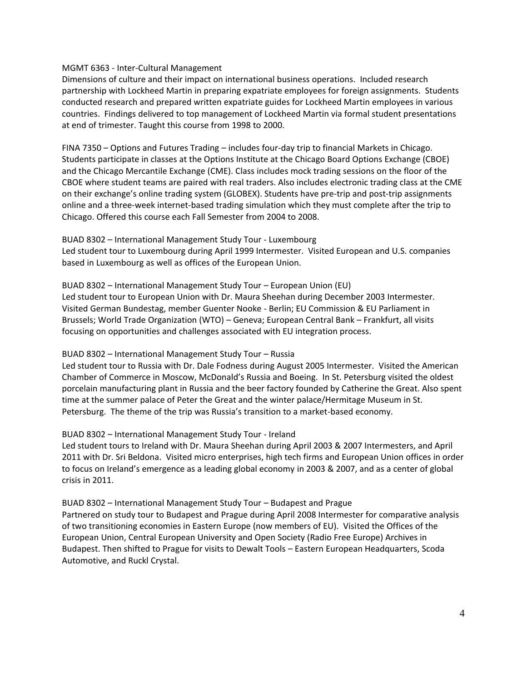# MGMT 6363 - Inter-Cultural Management

Dimensions of culture and their impact on international business operations. Included research partnership with Lockheed Martin in preparing expatriate employees for foreign assignments. Students conducted research and prepared written expatriate guides for Lockheed Martin employees in various countries. Findings delivered to top management of Lockheed Martin via formal student presentations at end of trimester. Taught this course from 1998 to 2000.

FINA 7350 – Options and Futures Trading – includes four-day trip to financial Markets in Chicago. Students participate in classes at the Options Institute at the Chicago Board Options Exchange (CBOE) and the Chicago Mercantile Exchange (CME). Class includes mock trading sessions on the floor of the CBOE where student teams are paired with real traders. Also includes electronic trading class at the CME on their exchange's online trading system (GLOBEX). Students have pre-trip and post-trip assignments online and a three-week internet-based trading simulation which they must complete after the trip to Chicago. Offered this course each Fall Semester from 2004 to 2008.

# BUAD 8302 – International Management Study Tour - Luxembourg

Led student tour to Luxembourg during April 1999 Intermester. Visited European and U.S. companies based in Luxembourg as well as offices of the European Union.

# BUAD 8302 – International Management Study Tour – European Union (EU)

Led student tour to European Union with Dr. Maura Sheehan during December 2003 Intermester. Visited German Bundestag, member Guenter Nooke - Berlin; EU Commission & EU Parliament in Brussels; World Trade Organization (WTO) – Geneva; European Central Bank – Frankfurt, all visits focusing on opportunities and challenges associated with EU integration process.

# BUAD 8302 – International Management Study Tour – Russia

Led student tour to Russia with Dr. Dale Fodness during August 2005 Intermester. Visited the American Chamber of Commerce in Moscow, McDonald's Russia and Boeing. In St. Petersburg visited the oldest porcelain manufacturing plant in Russia and the beer factory founded by Catherine the Great. Also spent time at the summer palace of Peter the Great and the winter palace/Hermitage Museum in St. Petersburg. The theme of the trip was Russia's transition to a market-based economy.

# BUAD 8302 – International Management Study Tour - Ireland

Led student tours to Ireland with Dr. Maura Sheehan during April 2003 & 2007 Intermesters, and April 2011 with Dr. Sri Beldona. Visited micro enterprises, high tech firms and European Union offices in order to focus on Ireland's emergence as a leading global economy in 2003 & 2007, and as a center of global crisis in 2011.

BUAD 8302 – International Management Study Tour – Budapest and Prague

Partnered on study tour to Budapest and Prague during April 2008 Intermester for comparative analysis of two transitioning economies in Eastern Europe (now members of EU). Visited the Offices of the European Union, Central European University and Open Society (Radio Free Europe) Archives in Budapest. Then shifted to Prague for visits to Dewalt Tools – Eastern European Headquarters, Scoda Automotive, and Ruckl Crystal.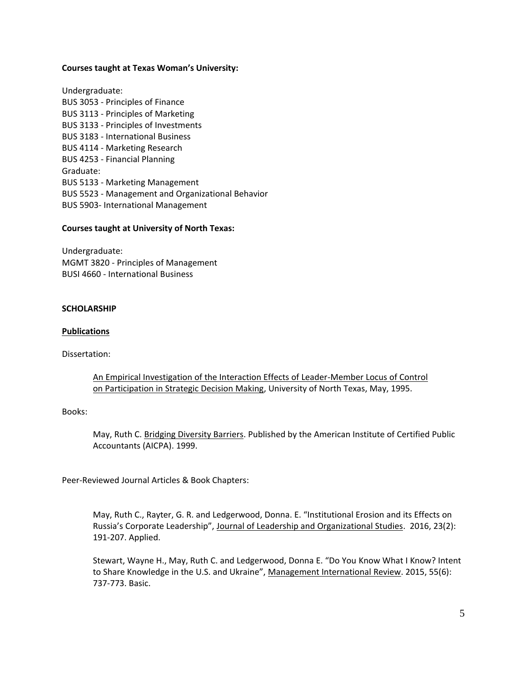### **Courses taught at Texas Woman's University:**

Undergraduate: BUS 3053 - Principles of Finance BUS 3113 - Principles of Marketing BUS 3133 - Principles of Investments BUS 3183 - International Business BUS 4114 - Marketing Research BUS 4253 - Financial Planning Graduate: BUS 5133 - Marketing Management BUS 5523 - Management and Organizational Behavior BUS 5903- International Management

# **Courses taught at University of North Texas:**

Undergraduate: MGMT 3820 - Principles of Management BUSI 4660 - International Business

### **SCHOLARSHIP**

### **Publications**

Dissertation:

An Empirical Investigation of the Interaction Effects of Leader-Member Locus of Control on Participation in Strategic Decision Making, University of North Texas, May, 1995.

# Books:

May, Ruth C. Bridging Diversity Barriers. Published by the American Institute of Certified Public Accountants (AICPA). 1999.

Peer-Reviewed Journal Articles & Book Chapters:

May, Ruth C., Rayter, G. R. and Ledgerwood, Donna. E. "Institutional Erosion and its Effects on Russia's Corporate Leadership", Journal of Leadership and Organizational Studies. 2016, 23(2): 191-207. Applied.

Stewart, Wayne H., May, Ruth C. and Ledgerwood, Donna E. "Do You Know What I Know? Intent to Share Knowledge in the U.S. and Ukraine", Management International Review. 2015, 55(6): 737-773. Basic.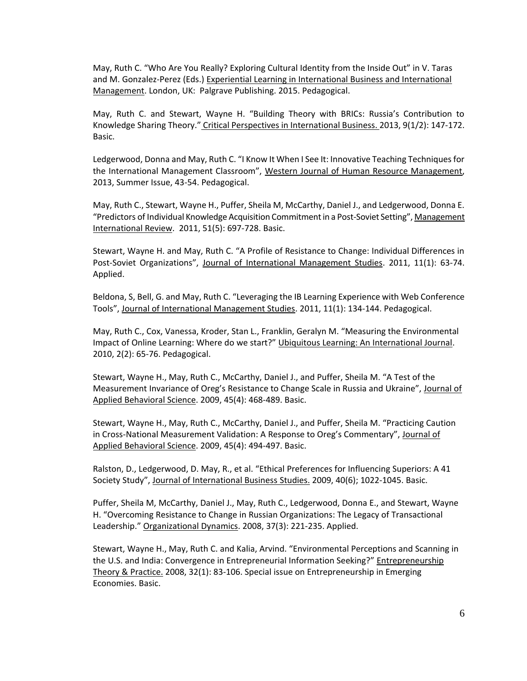May, Ruth C. "Who Are You Really? Exploring Cultural Identity from the Inside Out" in V. Taras and M. Gonzalez-Perez (Eds.) Experiential Learning in International Business and International Management. London, UK: Palgrave Publishing. 2015. Pedagogical.

May, Ruth C. and Stewart, Wayne H. "Building Theory with BRICs: Russia's Contribution to Knowledge Sharing Theory." Critical Perspectives in International Business. 2013, 9(1/2): 147-172. Basic.

Ledgerwood, Donna and May, Ruth C. "I Know It When I See It: Innovative Teaching Techniques for the International Management Classroom", Western Journal of Human Resource Management, 2013, Summer Issue, 43-54. Pedagogical.

May, Ruth C., Stewart, Wayne H., Puffer, Sheila M, McCarthy, Daniel J., and Ledgerwood, Donna E. "Predictors of Individual Knowledge Acquisition Commitment in a Post-Soviet Setting", Management International Review. 2011, 51(5): 697-728. Basic.

Stewart, Wayne H. and May, Ruth C. "A Profile of Resistance to Change: Individual Differences in Post-Soviet Organizations", Journal of International Management Studies. 2011, 11(1): 63-74. Applied.

Beldona, S, Bell, G. and May, Ruth C. "Leveraging the IB Learning Experience with Web Conference Tools", Journal of International Management Studies. 2011, 11(1): 134-144. Pedagogical.

May, Ruth C., Cox, Vanessa, Kroder, Stan L., Franklin, Geralyn M. "Measuring the Environmental Impact of Online Learning: Where do we start?" Ubiquitous Learning: An International Journal. 2010, 2(2): 65-76. Pedagogical.

Stewart, Wayne H., May, Ruth C., McCarthy, Daniel J., and Puffer, Sheila M. "A Test of the Measurement Invariance of Oreg's Resistance to Change Scale in Russia and Ukraine", Journal of Applied Behavioral Science. 2009, 45(4): 468-489. Basic.

Stewart, Wayne H., May, Ruth C., McCarthy, Daniel J., and Puffer, Sheila M. "Practicing Caution in Cross-National Measurement Validation: A Response to Oreg's Commentary", Journal of Applied Behavioral Science. 2009, 45(4): 494-497. Basic.

Ralston, D., Ledgerwood, D. May, R., et al. "Ethical Preferences for Influencing Superiors: A 41 Society Study", Journal of International Business Studies. 2009, 40(6); 1022-1045. Basic.

Puffer, Sheila M, McCarthy, Daniel J., May, Ruth C., Ledgerwood, Donna E., and Stewart, Wayne H. "Overcoming Resistance to Change in Russian Organizations: The Legacy of Transactional Leadership." Organizational Dynamics. 2008, 37(3): 221-235. Applied.

Stewart, Wayne H., May, Ruth C. and Kalia, Arvind. "Environmental Perceptions and Scanning in the U.S. and India: Convergence in Entrepreneurial Information Seeking?" Entrepreneurship Theory & Practice. 2008, 32(1): 83-106. Special issue on Entrepreneurship in Emerging Economies. Basic.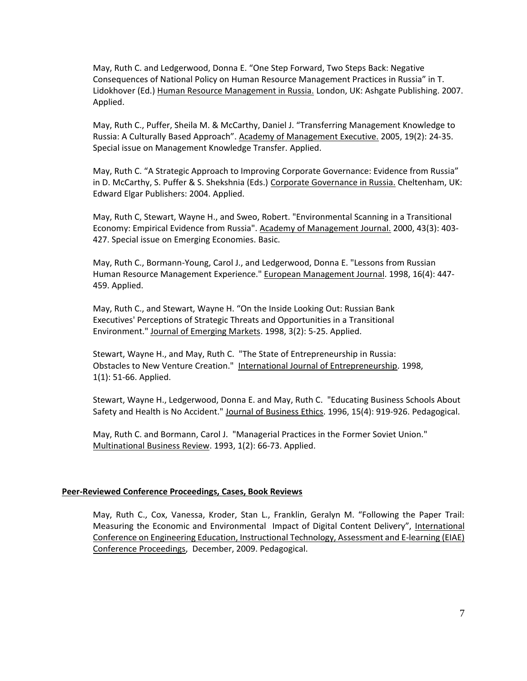May, Ruth C. and Ledgerwood, Donna E. "One Step Forward, Two Steps Back: Negative Consequences of National Policy on Human Resource Management Practices in Russia" in T. Lidokhover (Ed.) Human Resource Management in Russia. London, UK: Ashgate Publishing. 2007. Applied.

May, Ruth C., Puffer, Sheila M. & McCarthy, Daniel J. "Transferring Management Knowledge to Russia: A Culturally Based Approach". Academy of Management Executive. 2005, 19(2): 24-35. Special issue on Management Knowledge Transfer. Applied.

May, Ruth C. "A Strategic Approach to Improving Corporate Governance: Evidence from Russia" in D. McCarthy, S. Puffer & S. Shekshnia (Eds.) Corporate Governance in Russia. Cheltenham, UK: Edward Elgar Publishers: 2004. Applied.

May, Ruth C, Stewart, Wayne H., and Sweo, Robert. "Environmental Scanning in a Transitional Economy: Empirical Evidence from Russia". Academy of Management Journal. 2000, 43(3): 403- 427. Special issue on Emerging Economies. Basic.

May, Ruth C., Bormann-Young, Carol J., and Ledgerwood, Donna E. "Lessons from Russian Human Resource Management Experience." European Management Journal. 1998, 16(4): 447- 459. Applied.

May, Ruth C., and Stewart, Wayne H. "On the Inside Looking Out: Russian Bank Executives' Perceptions of Strategic Threats and Opportunities in a Transitional Environment." Journal of Emerging Markets. 1998, 3(2): 5-25. Applied.

Stewart, Wayne H., and May, Ruth C. "The State of Entrepreneurship in Russia: Obstacles to New Venture Creation." International Journal of Entrepreneurship. 1998, 1(1): 51-66. Applied.

Stewart, Wayne H., Ledgerwood, Donna E. and May, Ruth C. "Educating Business Schools About Safety and Health is No Accident." Journal of Business Ethics. 1996, 15(4): 919-926. Pedagogical.

May, Ruth C. and Bormann, Carol J. "Managerial Practices in the Former Soviet Union." Multinational Business Review. 1993, 1(2): 66-73. Applied.

#### **Peer-Reviewed Conference Proceedings, Cases, Book Reviews**

May, Ruth C., Cox, Vanessa, Kroder, Stan L., Franklin, Geralyn M. "Following the Paper Trail: Measuring the Economic and Environmental Impact of Digital Content Delivery", International Conference on Engineering Education, Instructional Technology, Assessment and E-learning (EIAE) Conference Proceedings, December, 2009. Pedagogical.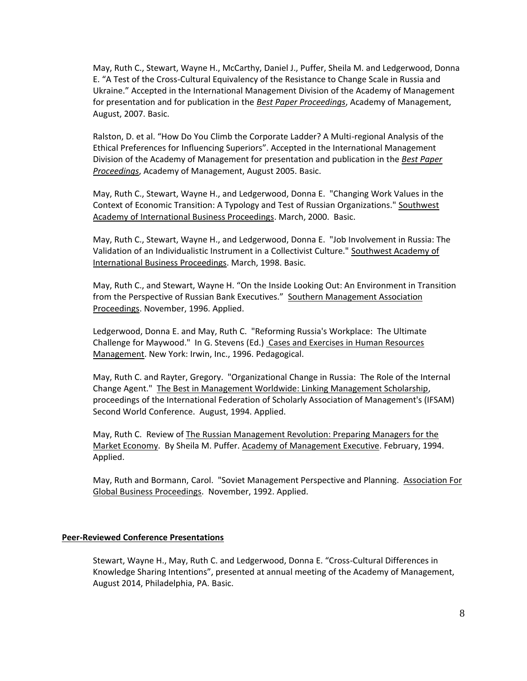May, Ruth C., Stewart, Wayne H., McCarthy, Daniel J., Puffer, Sheila M. and Ledgerwood, Donna E. "A Test of the Cross-Cultural Equivalency of the Resistance to Change Scale in Russia and Ukraine." Accepted in the International Management Division of the Academy of Management for presentation and for publication in the *Best Paper Proceedings*, Academy of Management, August, 2007. Basic.

Ralston, D. et al. "How Do You Climb the Corporate Ladder? A Multi-regional Analysis of the Ethical Preferences for Influencing Superiors". Accepted in the International Management Division of the Academy of Management for presentation and publication in the *Best Paper Proceedings*, Academy of Management, August 2005. Basic.

May, Ruth C., Stewart, Wayne H., and Ledgerwood, Donna E. "Changing Work Values in the Context of Economic Transition: A Typology and Test of Russian Organizations." Southwest Academy of International Business Proceedings. March, 2000. Basic.

May, Ruth C., Stewart, Wayne H., and Ledgerwood, Donna E. "Job Involvement in Russia: The Validation of an Individualistic Instrument in a Collectivist Culture." Southwest Academy of International Business Proceedings. March, 1998. Basic.

May, Ruth C., and Stewart, Wayne H. "On the Inside Looking Out: An Environment in Transition from the Perspective of Russian Bank Executives." Southern Management Association Proceedings. November, 1996. Applied.

Ledgerwood, Donna E. and May, Ruth C. "Reforming Russia's Workplace: The Ultimate Challenge for Maywood." In G. Stevens (Ed.) Cases and Exercises in Human Resources Management. New York: Irwin, Inc., 1996. Pedagogical.

May, Ruth C. and Rayter, Gregory. "Organizational Change in Russia: The Role of the Internal Change Agent." The Best in Management Worldwide: Linking Management Scholarship, proceedings of the International Federation of Scholarly Association of Management's (IFSAM) Second World Conference. August, 1994. Applied.

May, Ruth C. Review of The Russian Management Revolution: Preparing Managers for the Market Economy. By Sheila M. Puffer. Academy of Management Executive. February, 1994. Applied.

May, Ruth and Bormann, Carol. "Soviet Management Perspective and Planning. Association For Global Business Proceedings. November, 1992. Applied.

### **Peer-Reviewed Conference Presentations**

Stewart, Wayne H., May, Ruth C. and Ledgerwood, Donna E. "Cross-Cultural Differences in Knowledge Sharing Intentions", presented at annual meeting of the Academy of Management, August 2014, Philadelphia, PA. Basic.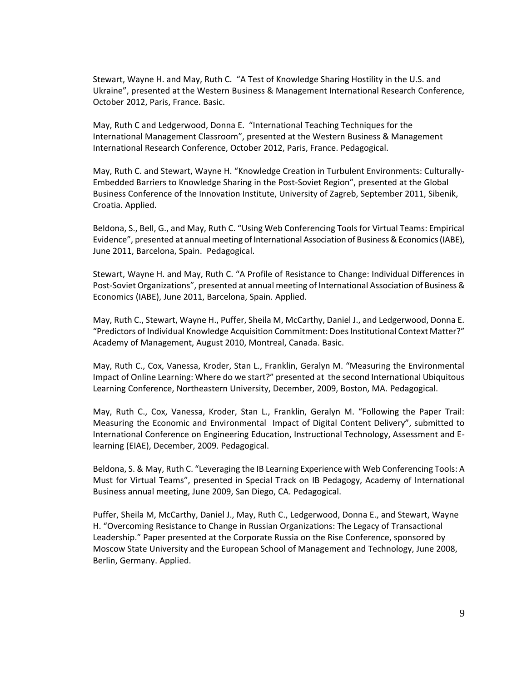Stewart, Wayne H. and May, Ruth C. "A Test of Knowledge Sharing Hostility in the U.S. and Ukraine", presented at the Western Business & Management International Research Conference, October 2012, Paris, France. Basic.

May, Ruth C and Ledgerwood, Donna E. "International Teaching Techniques for the International Management Classroom", presented at the Western Business & Management International Research Conference, October 2012, Paris, France. Pedagogical.

May, Ruth C. and Stewart, Wayne H. "Knowledge Creation in Turbulent Environments: Culturally-Embedded Barriers to Knowledge Sharing in the Post-Soviet Region", presented at the Global Business Conference of the Innovation Institute, University of Zagreb, September 2011, Sibenik, Croatia. Applied.

Beldona, S., Bell, G., and May, Ruth C. "Using Web Conferencing Tools for Virtual Teams: Empirical Evidence", presented at annual meeting of International Association of Business & Economics (IABE), June 2011, Barcelona, Spain. Pedagogical.

Stewart, Wayne H. and May, Ruth C. "A Profile of Resistance to Change: Individual Differences in Post-Soviet Organizations", presented at annual meeting of International Association of Business & Economics (IABE), June 2011, Barcelona, Spain. Applied.

May, Ruth C., Stewart, Wayne H., Puffer, Sheila M, McCarthy, Daniel J., and Ledgerwood, Donna E. "Predictors of Individual Knowledge Acquisition Commitment: Does Institutional Context Matter?" Academy of Management, August 2010, Montreal, Canada. Basic.

May, Ruth C., Cox, Vanessa, Kroder, Stan L., Franklin, Geralyn M. "Measuring the Environmental Impact of Online Learning: Where do we start?" presented at the second International Ubiquitous Learning Conference, Northeastern University, December, 2009, Boston, MA. Pedagogical.

May, Ruth C., Cox, Vanessa, Kroder, Stan L., Franklin, Geralyn M. "Following the Paper Trail: Measuring the Economic and Environmental Impact of Digital Content Delivery", submitted to International Conference on Engineering Education, Instructional Technology, Assessment and Elearning (EIAE), December, 2009. Pedagogical.

Beldona, S. & May, Ruth C. "Leveraging the IB Learning Experience with Web Conferencing Tools: A Must for Virtual Teams", presented in Special Track on IB Pedagogy, Academy of International Business annual meeting, June 2009, San Diego, CA. Pedagogical.

Puffer, Sheila M, McCarthy, Daniel J., May, Ruth C., Ledgerwood, Donna E., and Stewart, Wayne H. "Overcoming Resistance to Change in Russian Organizations: The Legacy of Transactional Leadership." Paper presented at the Corporate Russia on the Rise Conference, sponsored by Moscow State University and the European School of Management and Technology, June 2008, Berlin, Germany. Applied.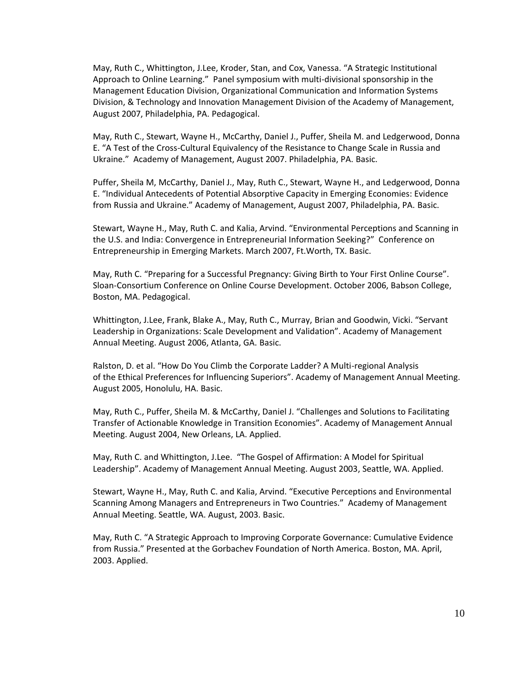May, Ruth C., Whittington, J.Lee, Kroder, Stan, and Cox, Vanessa. "A Strategic Institutional Approach to Online Learning." Panel symposium with multi-divisional sponsorship in the Management Education Division, Organizational Communication and Information Systems Division, & Technology and Innovation Management Division of the Academy of Management, August 2007, Philadelphia, PA. Pedagogical.

May, Ruth C., Stewart, Wayne H., McCarthy, Daniel J., Puffer, Sheila M. and Ledgerwood, Donna E. "A Test of the Cross-Cultural Equivalency of the Resistance to Change Scale in Russia and Ukraine." Academy of Management, August 2007. Philadelphia, PA. Basic.

Puffer, Sheila M, McCarthy, Daniel J., May, Ruth C., Stewart, Wayne H., and Ledgerwood, Donna E. "Individual Antecedents of Potential Absorptive Capacity in Emerging Economies: Evidence from Russia and Ukraine." Academy of Management, August 2007, Philadelphia, PA. Basic.

Stewart, Wayne H., May, Ruth C. and Kalia, Arvind. "Environmental Perceptions and Scanning in the U.S. and India: Convergence in Entrepreneurial Information Seeking?" Conference on Entrepreneurship in Emerging Markets. March 2007, Ft.Worth, TX. Basic.

May, Ruth C. "Preparing for a Successful Pregnancy: Giving Birth to Your First Online Course". Sloan-Consortium Conference on Online Course Development. October 2006, Babson College, Boston, MA. Pedagogical.

Whittington, J.Lee, Frank, Blake A., May, Ruth C., Murray, Brian and Goodwin, Vicki. "Servant Leadership in Organizations: Scale Development and Validation". Academy of Management Annual Meeting. August 2006, Atlanta, GA. Basic.

Ralston, D. et al. "How Do You Climb the Corporate Ladder? A Multi-regional Analysis of the Ethical Preferences for Influencing Superiors". Academy of Management Annual Meeting. August 2005, Honolulu, HA. Basic.

May, Ruth C., Puffer, Sheila M. & McCarthy, Daniel J. "Challenges and Solutions to Facilitating Transfer of Actionable Knowledge in Transition Economies". Academy of Management Annual Meeting. August 2004, New Orleans, LA. Applied.

May, Ruth C. and Whittington, J.Lee. "The Gospel of Affirmation: A Model for Spiritual Leadership". Academy of Management Annual Meeting. August 2003, Seattle, WA. Applied.

Stewart, Wayne H., May, Ruth C. and Kalia, Arvind. "Executive Perceptions and Environmental Scanning Among Managers and Entrepreneurs in Two Countries." Academy of Management Annual Meeting. Seattle, WA. August, 2003. Basic.

May, Ruth C. "A Strategic Approach to Improving Corporate Governance: Cumulative Evidence from Russia." Presented at the Gorbachev Foundation of North America. Boston, MA. April, 2003. Applied.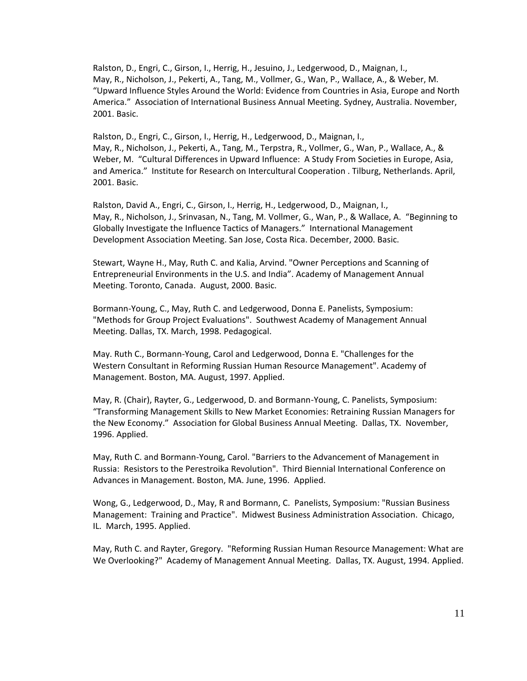Ralston, D., Engri, C., Girson, I., Herrig, H., Jesuino, J., Ledgerwood, D., Maignan, I., May, R., Nicholson, J., Pekerti, A., Tang, M., Vollmer, G., Wan, P., Wallace, A., & Weber, M. "Upward Influence Styles Around the World: Evidence from Countries in Asia, Europe and North America." Association of International Business Annual Meeting. Sydney, Australia. November, 2001. Basic.

Ralston, D., Engri, C., Girson, I., Herrig, H., Ledgerwood, D., Maignan, I., May, R., Nicholson, J., Pekerti, A., Tang, M., Terpstra, R., Vollmer, G., Wan, P., Wallace, A., & Weber, M. "Cultural Differences in Upward Influence: A Study From Societies in Europe, Asia, and America." Institute for Research on Intercultural Cooperation . Tilburg, Netherlands. April, 2001. Basic.

Ralston, David A., Engri, C., Girson, I., Herrig, H., Ledgerwood, D., Maignan, I., May, R., Nicholson, J., Srinvasan, N., Tang, M. Vollmer, G., Wan, P., & Wallace, A. "Beginning to Globally Investigate the Influence Tactics of Managers." International Management Development Association Meeting. San Jose, Costa Rica. December, 2000. Basic.

Stewart, Wayne H., May, Ruth C. and Kalia, Arvind. "Owner Perceptions and Scanning of Entrepreneurial Environments in the U.S. and India". Academy of Management Annual Meeting. Toronto, Canada. August, 2000. Basic.

Bormann-Young, C., May, Ruth C. and Ledgerwood, Donna E. Panelists, Symposium: "Methods for Group Project Evaluations". Southwest Academy of Management Annual Meeting. Dallas, TX. March, 1998. Pedagogical.

May. Ruth C., Bormann-Young, Carol and Ledgerwood, Donna E. "Challenges for the Western Consultant in Reforming Russian Human Resource Management". Academy of Management. Boston, MA. August, 1997. Applied.

May, R. (Chair), Rayter, G., Ledgerwood, D. and Bormann-Young, C. Panelists, Symposium: "Transforming Management Skills to New Market Economies: Retraining Russian Managers for the New Economy." Association for Global Business Annual Meeting. Dallas, TX. November, 1996. Applied.

May, Ruth C. and Bormann-Young, Carol. "Barriers to the Advancement of Management in Russia: Resistors to the Perestroika Revolution". Third Biennial International Conference on Advances in Management. Boston, MA. June, 1996. Applied.

Wong, G., Ledgerwood, D., May, R and Bormann, C. Panelists, Symposium: "Russian Business Management: Training and Practice". Midwest Business Administration Association. Chicago, IL. March, 1995. Applied.

May, Ruth C. and Rayter, Gregory. "Reforming Russian Human Resource Management: What are We Overlooking?" Academy of Management Annual Meeting. Dallas, TX. August, 1994. Applied.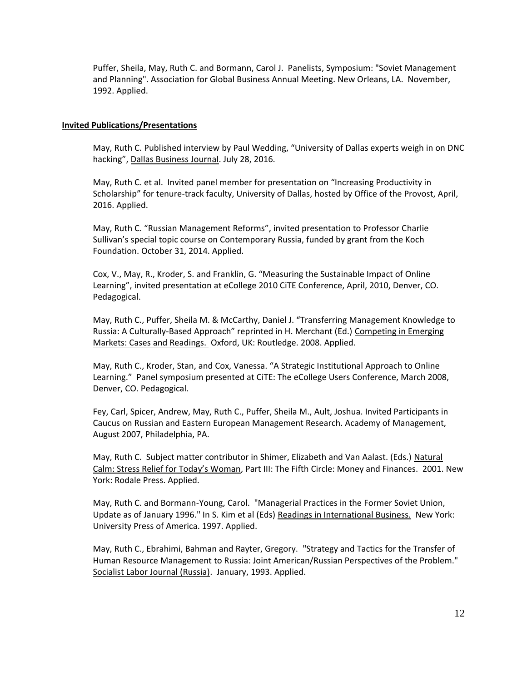Puffer, Sheila, May, Ruth C. and Bormann, Carol J. Panelists, Symposium: "Soviet Management and Planning". Association for Global Business Annual Meeting. New Orleans, LA. November, 1992. Applied.

### **Invited Publications/Presentations**

May, Ruth C. Published interview by Paul Wedding, "University of Dallas experts weigh in on DNC hacking", Dallas Business Journal. July 28, 2016.

May, Ruth C. et al. Invited panel member for presentation on "Increasing Productivity in Scholarship" for tenure-track faculty, University of Dallas, hosted by Office of the Provost, April, 2016. Applied.

May, Ruth C. "Russian Management Reforms", invited presentation to Professor Charlie Sullivan's special topic course on Contemporary Russia, funded by grant from the Koch Foundation. October 31, 2014. Applied.

Cox, V., May, R., Kroder, S. and Franklin, G. "Measuring the Sustainable Impact of Online Learning", invited presentation at eCollege 2010 CiTE Conference, April, 2010, Denver, CO. Pedagogical.

May, Ruth C., Puffer, Sheila M. & McCarthy, Daniel J. "Transferring Management Knowledge to Russia: A Culturally-Based Approach" reprinted in H. Merchant (Ed.) Competing in Emerging Markets: Cases and Readings. Oxford, UK: Routledge. 2008. Applied.

May, Ruth C., Kroder, Stan, and Cox, Vanessa. "A Strategic Institutional Approach to Online Learning." Panel symposium presented at CiTE: The eCollege Users Conference, March 2008, Denver, CO. Pedagogical.

Fey, Carl, Spicer, Andrew, May, Ruth C., Puffer, Sheila M., Ault, Joshua. Invited Participants in Caucus on Russian and Eastern European Management Research. Academy of Management, August 2007, Philadelphia, PA.

May, Ruth C. Subject matter contributor in Shimer, Elizabeth and Van Aalast. (Eds.) Natural Calm: Stress Relief for Today's Woman, Part III: The Fifth Circle: Money and Finances. 2001. New York: Rodale Press. Applied.

May, Ruth C. and Bormann-Young, Carol. "Managerial Practices in the Former Soviet Union, Update as of January 1996." In S. Kim et al (Eds) Readings in International Business. New York: University Press of America. 1997. Applied.

May, Ruth C., Ebrahimi, Bahman and Rayter, Gregory. "Strategy and Tactics for the Transfer of Human Resource Management to Russia: Joint American/Russian Perspectives of the Problem." Socialist Labor Journal (Russia). January, 1993. Applied.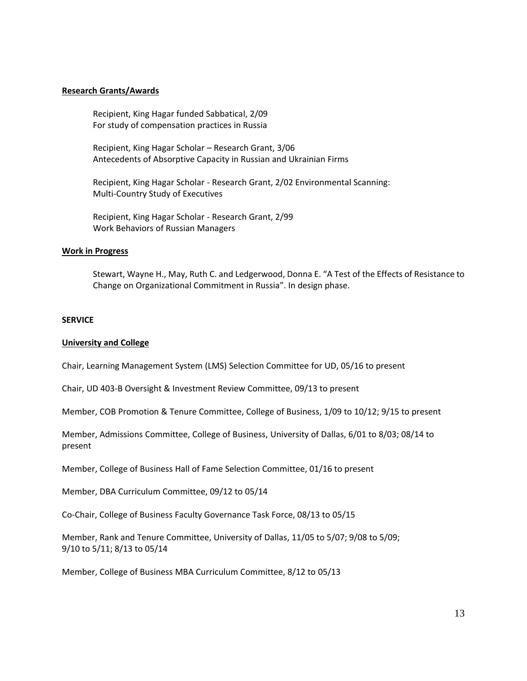#### **Research Grants/Awards**

Recipient, King Hagar funded Sabbatical, 2/09 For study of compensation practices in Russia

Recipient, King Hagar Scholar – Research Grant, 3/06 Antecedents of Absorptive Capacity in Russian and Ukrainian Firms

Recipient, King Hagar Scholar - Research Grant, 2/02 Environmental Scanning: Multi-Country Study of Executives

Recipient, King Hagar Scholar - Research Grant, 2/99 Work Behaviors of Russian Managers

#### **Work in Progress**

Stewart, Wayne H., May, Ruth C. and Ledgerwood, Donna E. "A Test of the Effects of Resistance to Change on Organizational Commitment in Russia". In design phase.

#### **SERVICE**

#### **University and College**

Chair, Learning Management System (LMS) Selection Committee for UD, 05/16 to present

Chair, UD 403-B Oversight & Investment Review Committee, 09/13 to present

Member, COB Promotion & Tenure Committee, College of Business, 1/09 to 10/12; 9/15 to present

Member, Admissions Committee, College of Business, University of Dallas, 6/01 to 8/03; 08/14 to present

Member, College of Business Hall of Fame Selection Committee, 01/16 to present

Member, DBA Curriculum Committee, 09/12 to 05/14

Co-Chair, College of Business Faculty Governance Task Force, 08/13 to 05/15

Member, Rank and Tenure Committee, University of Dallas, 11/05 to 5/07; 9/08 to 5/09; 9/10 to 5/11; 8/13 to 05/14

Member, College of Business MBA Curriculum Committee, 8/12 to 05/13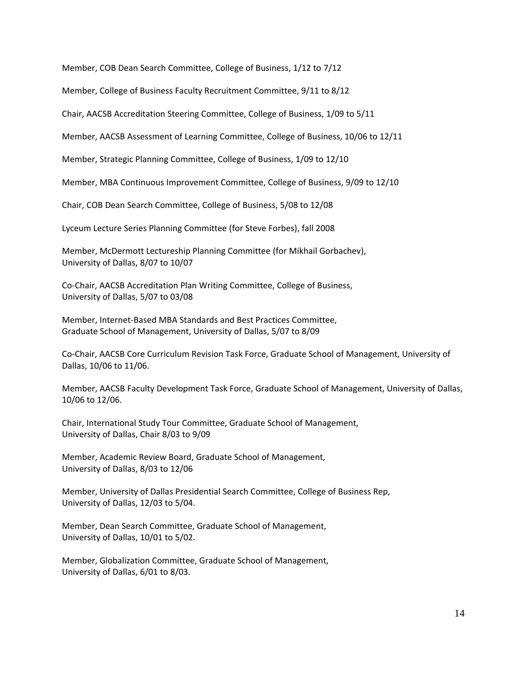Member, COB Dean Search Committee, College of Business, 1/12 to 7/12

Member, College of Business Faculty Recruitment Committee, 9/11 to 8/12

Chair, AACSB Accreditation Steering Committee, College of Business, 1/09 to 5/11

Member, AACSB Assessment of Learning Committee, College of Business, 10/06 to 12/11

Member, Strategic Planning Committee, College of Business, 1/09 to 12/10

Member, MBA Continuous Improvement Committee, College of Business, 9/09 to 12/10

Chair, COB Dean Search Committee, College of Business, 5/08 to 12/08

Lyceum Lecture Series Planning Committee (for Steve Forbes), fall 2008

Member, McDermott Lectureship Planning Committee (for Mikhail Gorbachev), University of Dallas, 8/07 to 10/07

Co-Chair, AACSB Accreditation Plan Writing Committee, College of Business, University of Dallas, 5/07 to 03/08

Member, Internet-Based MBA Standards and Best Practices Committee, Graduate School of Management, University of Dallas, 5/07 to 8/09

Co-Chair, AACSB Core Curriculum Revision Task Force, Graduate School of Management, University of Dallas, 10/06 to 11/06.

Member, AACSB Faculty Development Task Force, Graduate School of Management, University of Dallas, 10/06 to 12/06.

Chair, International Study Tour Committee, Graduate School of Management, University of Dallas, Chair 8/03 to 9/09

Member, Academic Review Board, Graduate School of Management, University of Dallas, 8/03 to 12/06

Member, University of Dallas Presidential Search Committee, College of Business Rep, University of Dallas, 12/03 to 5/04.

Member, Dean Search Committee, Graduate School of Management, University of Dallas, 10/01 to 5/02.

Member, Globalization Committee, Graduate School of Management, University of Dallas, 6/01 to 8/03.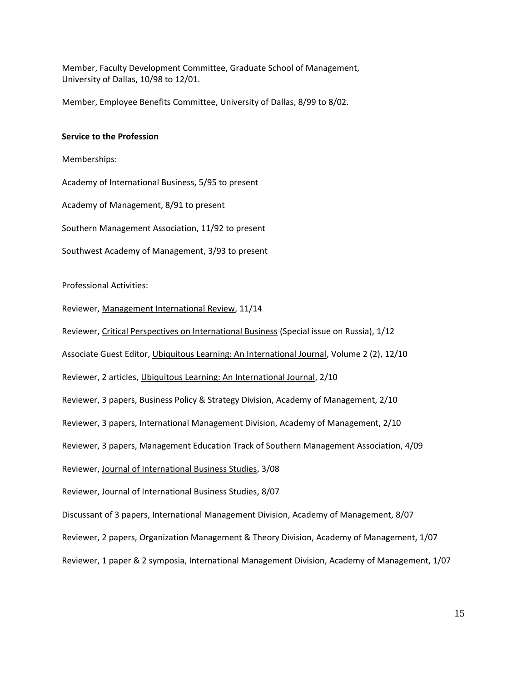Member, Faculty Development Committee, Graduate School of Management, University of Dallas, 10/98 to 12/01.

Member, Employee Benefits Committee, University of Dallas, 8/99 to 8/02.

### **Service to the Profession**

Memberships:

Academy of International Business, 5/95 to present

Academy of Management, 8/91 to present

Southern Management Association, 11/92 to present

Southwest Academy of Management, 3/93 to present

Professional Activities:

Reviewer, Management International Review, 11/14

Reviewer, Critical Perspectives on International Business (Special issue on Russia), 1/12

Associate Guest Editor, Ubiquitous Learning: An International Journal, Volume 2 (2), 12/10

Reviewer, 2 articles, Ubiquitous Learning: An International Journal, 2/10

Reviewer, 3 papers, Business Policy & Strategy Division, Academy of Management, 2/10

Reviewer, 3 papers, International Management Division, Academy of Management, 2/10

Reviewer, 3 papers, Management Education Track of Southern Management Association, 4/09

Reviewer, Journal of International Business Studies, 3/08

Reviewer, Journal of International Business Studies, 8/07

Discussant of 3 papers, International Management Division, Academy of Management, 8/07

Reviewer, 2 papers, Organization Management & Theory Division, Academy of Management, 1/07

Reviewer, 1 paper & 2 symposia, International Management Division, Academy of Management, 1/07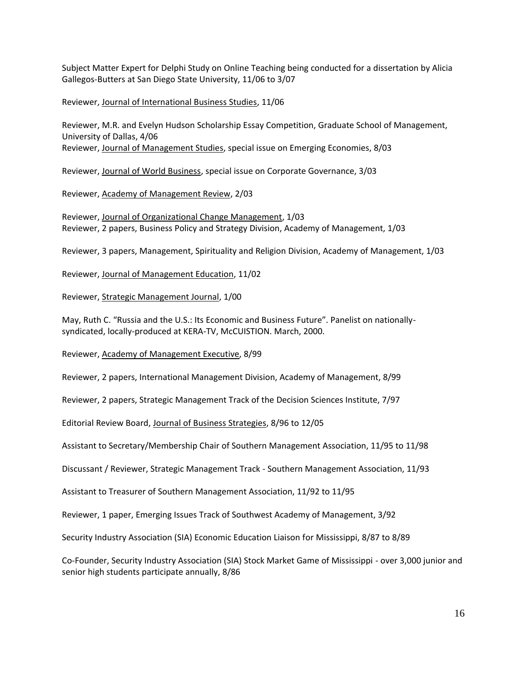Subject Matter Expert for Delphi Study on Online Teaching being conducted for a dissertation by Alicia Gallegos-Butters at San Diego State University, 11/06 to 3/07

Reviewer, Journal of International Business Studies, 11/06

Reviewer, M.R. and Evelyn Hudson Scholarship Essay Competition, Graduate School of Management, University of Dallas, 4/06 Reviewer, Journal of Management Studies, special issue on Emerging Economies, 8/03

Reviewer, Journal of World Business, special issue on Corporate Governance, 3/03

Reviewer, Academy of Management Review, 2/03

Reviewer, Journal of Organizational Change Management, 1/03 Reviewer, 2 papers, Business Policy and Strategy Division, Academy of Management, 1/03

Reviewer, 3 papers, Management, Spirituality and Religion Division, Academy of Management, 1/03

Reviewer, Journal of Management Education, 11/02

Reviewer, Strategic Management Journal, 1/00

May, Ruth C. "Russia and the U.S.: Its Economic and Business Future". Panelist on nationallysyndicated, locally-produced at KERA-TV, McCUISTION. March, 2000.

Reviewer, Academy of Management Executive, 8/99

Reviewer, 2 papers, International Management Division, Academy of Management, 8/99

Reviewer, 2 papers, Strategic Management Track of the Decision Sciences Institute, 7/97

Editorial Review Board, Journal of Business Strategies, 8/96 to 12/05

Assistant to Secretary/Membership Chair of Southern Management Association, 11/95 to 11/98

Discussant / Reviewer, Strategic Management Track - Southern Management Association, 11/93

Assistant to Treasurer of Southern Management Association, 11/92 to 11/95

Reviewer, 1 paper, Emerging Issues Track of Southwest Academy of Management, 3/92

Security Industry Association (SIA) Economic Education Liaison for Mississippi, 8/87 to 8/89

Co-Founder, Security Industry Association (SIA) Stock Market Game of Mississippi - over 3,000 junior and senior high students participate annually, 8/86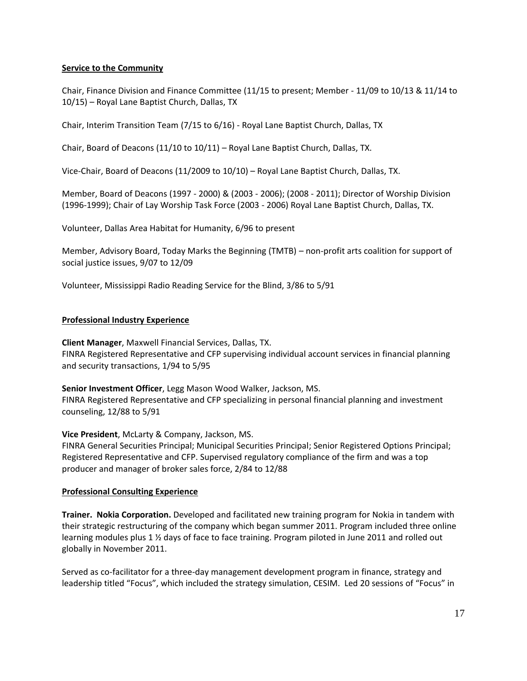# **Service to the Community**

Chair, Finance Division and Finance Committee (11/15 to present; Member - 11/09 to 10/13 & 11/14 to 10/15) – Royal Lane Baptist Church, Dallas, TX

Chair, Interim Transition Team (7/15 to 6/16) - Royal Lane Baptist Church, Dallas, TX

Chair, Board of Deacons (11/10 to 10/11) – Royal Lane Baptist Church, Dallas, TX.

Vice-Chair, Board of Deacons (11/2009 to 10/10) – Royal Lane Baptist Church, Dallas, TX.

Member, Board of Deacons (1997 - 2000) & (2003 - 2006); (2008 - 2011); Director of Worship Division (1996-1999); Chair of Lay Worship Task Force (2003 - 2006) Royal Lane Baptist Church, Dallas, TX.

Volunteer, Dallas Area Habitat for Humanity, 6/96 to present

Member, Advisory Board, Today Marks the Beginning (TMTB) – non-profit arts coalition for support of social justice issues, 9/07 to 12/09

Volunteer, Mississippi Radio Reading Service for the Blind, 3/86 to 5/91

### **Professional Industry Experience**

**Client Manager**, Maxwell Financial Services, Dallas, TX. FINRA Registered Representative and CFP supervising individual account services in financial planning and security transactions, 1/94 to 5/95

**Senior Investment Officer**, Legg Mason Wood Walker, Jackson, MS. FINRA Registered Representative and CFP specializing in personal financial planning and investment counseling, 12/88 to 5/91

**Vice President**, McLarty & Company, Jackson, MS.

FINRA General Securities Principal; Municipal Securities Principal; Senior Registered Options Principal; Registered Representative and CFP. Supervised regulatory compliance of the firm and was a top producer and manager of broker sales force, 2/84 to 12/88

### **Professional Consulting Experience**

**Trainer. Nokia Corporation.** Developed and facilitated new training program for Nokia in tandem with their strategic restructuring of the company which began summer 2011. Program included three online learning modules plus 1 ½ days of face to face training. Program piloted in June 2011 and rolled out globally in November 2011.

Served as co-facilitator for a three-day management development program in finance, strategy and leadership titled "Focus", which included the strategy simulation, CESIM. Led 20 sessions of "Focus" in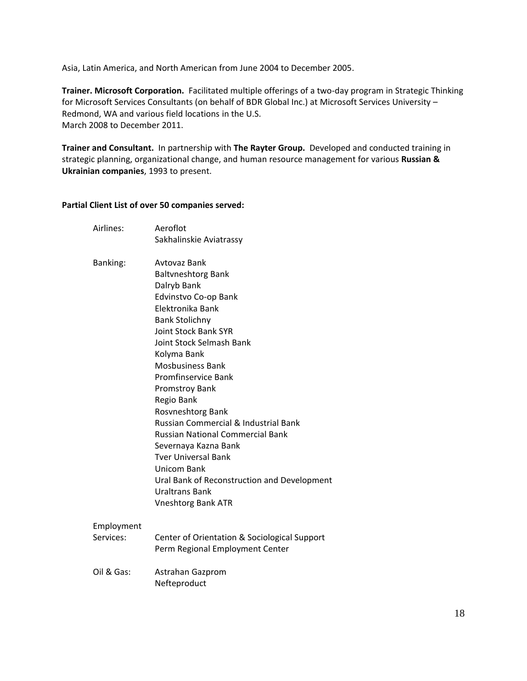Asia, Latin America, and North American from June 2004 to December 2005.

**Trainer. Microsoft Corporation.** Facilitated multiple offerings of a two-day program in Strategic Thinking for Microsoft Services Consultants (on behalf of BDR Global Inc.) at Microsoft Services University – Redmond, WA and various field locations in the U.S. March 2008 to December 2011.

**Trainer and Consultant.** In partnership with **The Rayter Group.** Developed and conducted training in strategic planning, organizational change, and human resource management for various **Russian & Ukrainian companies**, 1993 to present.

# **Partial Client List of over 50 companies served:**

| Airlines:       | Aeroflot                                     |
|-----------------|----------------------------------------------|
|                 | Sakhalinskie Aviatrassy                      |
| <b>Banking:</b> | Avtovaz Bank                                 |
|                 | <b>Baltvneshtorg Bank</b>                    |
|                 | Dalryb Bank                                  |
|                 | Edvinstvo Co-op Bank                         |
|                 | Elektronika Bank                             |
|                 | <b>Bank Stolichny</b>                        |
|                 | <b>Joint Stock Bank SYR</b>                  |
|                 | Joint Stock Selmash Bank                     |
|                 | Kolyma Bank                                  |
|                 | <b>Mosbusiness Bank</b>                      |
|                 | <b>Promfinservice Bank</b>                   |
|                 | <b>Promstroy Bank</b>                        |
|                 | Regio Bank                                   |
|                 | Rosvneshtorg Bank                            |
|                 | Russian Commercial & Industrial Bank         |
|                 | <b>Russian National Commercial Bank</b>      |
|                 | Severnaya Kazna Bank                         |
|                 | <b>Tver Universal Bank</b>                   |
|                 | Unicom Bank                                  |
|                 | Ural Bank of Reconstruction and Development  |
|                 | Uraltrans Bank                               |
|                 | <b>Vneshtorg Bank ATR</b>                    |
| Employment      |                                              |
| Services:       | Center of Orientation & Sociological Support |
|                 | Perm Regional Employment Center              |
| Oil & Gas:      | Astrahan Gazprom                             |
|                 | Nefteproduct                                 |